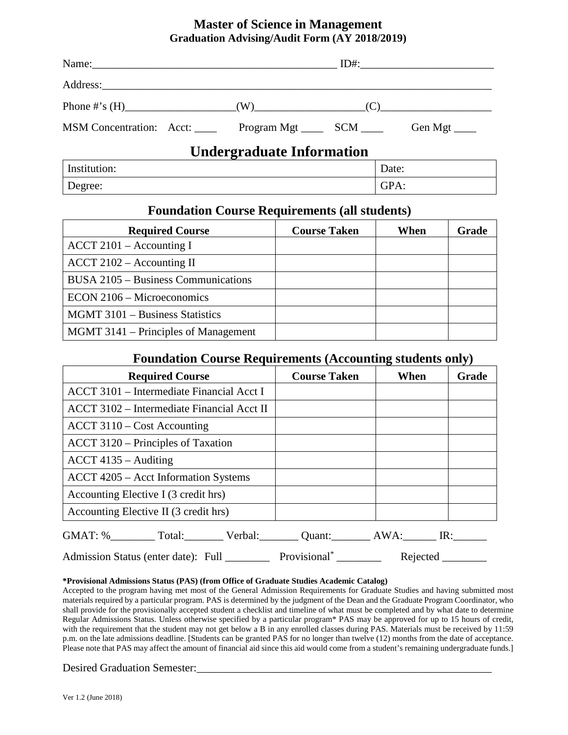## **Master of Science in Management Graduation Advising/Audit Form (AY 2018/2019)**

| MSM Concentration: Acct: Program Mgt ______ SCM _____ |                                  | Gen Mgt $\_\_$ |
|-------------------------------------------------------|----------------------------------|----------------|
|                                                       | <b>Undergraduate Information</b> |                |
| Institution:                                          |                                  | Date:          |

## **Foundation Course Requirements (all students)**

Degree: Some Contract Contract Contract Contract Contract Contract Contract Contract Contract Contract Contract Contract Contract Contract Contract Contract Contract Contract Contract Contract Contract Contract Contract Co

| <b>Required Course</b>                             | <b>Course Taken</b> | When | Grade |
|----------------------------------------------------|---------------------|------|-------|
| $\text{ACCT } 2101 - \text{Accounting I}$          |                     |      |       |
| $\text{ACCT } 2102 - \text{Accounting } \text{II}$ |                     |      |       |
| BUSA 2105 – Business Communications                |                     |      |       |
| ECON 2106 – Microeconomics                         |                     |      |       |
| MGMT 3101 - Business Statistics                    |                     |      |       |
| MGMT 3141 – Principles of Management               |                     |      |       |

## **Foundation Course Requirements (Accounting students only)**

| <b>Required Course</b>                                                   | <b>Course Taken</b> | When     | <b>Grade</b> |
|--------------------------------------------------------------------------|---------------------|----------|--------------|
| ACCT 3101 – Intermediate Financial Acct I                                |                     |          |              |
| ACCT 3102 – Intermediate Financial Acct II                               |                     |          |              |
| $ACCT$ 3110 – Cost Accounting                                            |                     |          |              |
| ACCT 3120 – Principles of Taxation                                       |                     |          |              |
| $ACCT$ 4135 – Auditing                                                   |                     |          |              |
| ACCT 4205 – Acct Information Systems                                     |                     |          |              |
| Accounting Elective I (3 credit hrs)                                     |                     |          |              |
| Accounting Elective II (3 credit hrs)                                    |                     |          |              |
| GMAT: % Total: Verbal: Quant: AWA: IR:                                   |                     |          |              |
| Admission Status (enter date): Full ___________ Provisional <sup>*</sup> |                     | Rejected |              |

### **\*Provisional Admissions Status (PAS) (from Office of Graduate Studies Academic Catalog)**

Accepted to the program having met most of the General Admission Requirements for Graduate Studies and having submitted most materials required by a particular program. PAS is determined by the judgment of the Dean and the Graduate Program Coordinator, who shall provide for the provisionally accepted student a checklist and timeline of what must be completed and by what date to determine Regular Admissions Status. Unless otherwise specified by a particular program\* PAS may be approved for up to 15 hours of credit, with the requirement that the student may not get below a B in any enrolled classes during PAS. Materials must be received by 11:59 p.m. on the late admissions deadline. [Students can be granted PAS for no longer than twelve (12) months from the date of acceptance. Please note that PAS may affect the amount of financial aid since this aid would come from a student's remaining undergraduate funds.]

Desired Graduation Semester: